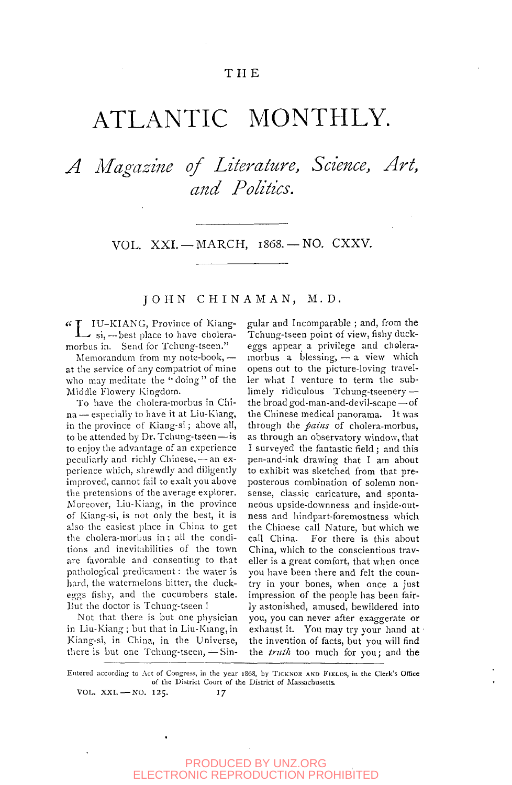# T H E

# ATLANTIC MONTHLY.

# *A Magazine of Literature, Science, Art, and Politics.*

VOL. XXI. - MARCH, 1868. - NO. CXXV.

JOHN CHINAMAN, M.D.

IU-KIANG, Province of Kiang-<br> $\rightarrow$  si, ---best place to have choleramorbus in. Send for Tchung-tseen."

Memorandum from my note-book, at the service of any compatriot of mine who may meditate the "doing" of the Middle Flowery Kingdom.

To have the cholera-morbus in China — especially to have it at Liu-Kiang, in the province of Kiang-si ; above all, to be attended by Dr. Tchung-tseen — is to enjoy the advantage of an experience peculiarly and richly Chinese, — an experience which, shrewdly and diligently improved, cannot fail to exalt you above the pretensions of the average explorer. Moreover, Liu-Kiang, in the province of Kiang-si, is not only the best, it is also the easiest place in China to get the cholera-morbus in ; all the conditions and inevitabilities of the town are favorable and consenting to that pathological predicament: the water is hard, the watermelons bitter, the duckeggs fishy, and the cucumbers stale. But the doctor is Tchung-tseen !

Not that there is but one physician in Liu-Kiang ; but that in Liu-Kiang, in Kiang-si, in China, in the Universe, there is but one Tchung-tseen,—Singular and Incomparable ; and, from the Tchung-tseen point of view, fishy duckeggs appear a privilege and choleramorbus a blessing,  $-$  a view which opens out to the picture-loving traveller what I venture to term the sublimely ridiculous Tchung-tseenery the broad god-man-and-devil-scape —of the Chinese medical panorama. It was through the *pains* of cholera-morbus, as through an observatory window, that I surveyed the fantastic field ; and this pen-and-ink drawing that I am about to exhibit was sketched from that preposterous combination of solemn nonsense, classic caricature, and spontaneous upside-downness and inside-outness and hindpart-foremostness which the Chinese call Nature, but which we call China. For there is this about China, which to the conscientious traveller is a great comfort, that when once you have been there and felt the country in your bones, when once a just impression of the people has been fairly astonished, amused, bewildered into you, you can never after exaggerate or you, you can never ance exaggerate of  $t$ .  $t$  is the investor of  $\epsilon$  in  $\epsilon$  in  $\epsilon$  in  $\epsilon$  in  $\epsilon$  in  $\epsilon$  in  $\epsilon$  in  $\epsilon$  in  $\epsilon$  in  $\epsilon$  in  $\epsilon$  in  $\epsilon$  in  $\epsilon$  in  $\epsilon$  in  $\epsilon$  in  $\epsilon$  in  $\epsilon$  in  $\epsilon$  in  $\epsilon$  in  $\epsilon$  in  $\epsilon$  in  $\epsilon$  in  $\epsilon$  in  $\epsilon$  in the invention of facts, but you will find<br>the *truth* too much for you; and the

Entered according to Act of Congress, in the year 1868, by TICKNOK AND FIELDS, in the Clerk's Office of the District Court of the District of Massachusetts, VOL. XXI. - NO. 125. 17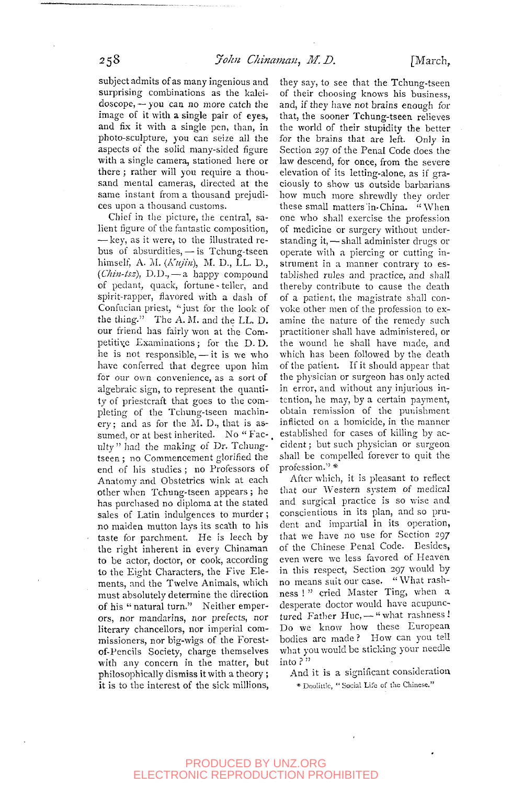subject admits of as many ingenious and surprising combinations as the kaleidoscope, — you can no more catch the image of it with a single pair of eyes, and fix it with a single pen, than, in photo-sculpture, you can seize all the aspects of the solid many-sided figure with a single camera, stationed here or there ; rather will you require a thousand mental cameras, directed at the same instant from a thousand prejudices upon a thousand customs.

Chief in the picture, the central, salient figure of the fantastic composition, — key, as it were, to the illustrated rebus of absurdities, — is Tchung-tseen himself, A. M. *{Kujin),* M. D., LL. D., *(Chin-tsz),* D.D., — a happy compound of pedant, quack, fortune-teller, and spirit-rapper, flavored with a dash of Confucian priest, "just for the look of the thing." The A. M. and the LL. D. our friend has fairly won at the Competitive Examinations; for the D. D. he is not responsible, — it is we who have conferred that degree upon him for our own convenience, as a sort of algebraic sign, to represent the quantity of priestcraft that goes to the completing of the Tchung-tseen machin $erv$ ; and as for the M. D., that is assumed, or at best inherited. No "Fac-. ulty" had the making of Dr. Tchungtseen ; no Commencement glorified the end of his studies; no Professors of Anatomy and Obstetrics wink at each other when Tchung-tseen appears ; he has purchased no diploma at the stated sales of Latin indulgences to murder ; no maiden mutton lays its scath to his taste for parchment. He is leech by the right inherent in every Chinaman to be actor, doctor, or cook, according to the Eight Characters, the Five Elements, and the Twelve Animals, which must absolutely determine the direction of his " natural turn." Neither emperors, nor mandarins, nor prefects, nor literary chancellors, nor imperial commissioners, nor big-wigs of the Forestof-Pencils Society, charge themselves with any concern in the matter, but philosophically dismiss it with a theory ; it is to the interest of the sick millions,

they say, to see that the Tchung-tseen of their choosing knows his business, and, if they have not brains enough for that, the sooner Tchung-tseen relieves the world of their stupidity the better for the brains that are left. Only in Section 297 of the Penal Code does the law descend, for once, from the severe elevation of its letting-alone, as if graciously to show us outside barbarians how much more shrewdly they order these small matters in China. "When one who shall exercise the profession of medicine or surgery without understanding it, — shall administer drugs or operate with a piercing or cutting instrument in a manner contrary to established rules and practice, and shall thereby contribute to cause the death of a patient, the magistrate shall convoke other men of the profession to examine the nature of the remedy such practitioner shall have administered, or the wound he shall have made, and which has been followed by the death of the patient. If it should appear that the physician or surgeon has only acted in error, and without any injurious intention, he may, by a certain payment, obtain remission of the punishment inflicted on a homicide, in the manner established for cases of killing by accident ; but such physician or surgeon shall be compelled forever to quit the profession." \*

After which, it is pleasant to reflect that our Western system of medical and surgical practice is so wise and conscientious in its plan, and so prudent and impartial in its operation, that we have no use for Section 297 of the Chinese Penal Code. Besides, even were we less favored of Heaven in this respect. Section 297 would by no means suit our case. "What rashness ! " cried Master Ting, when a desperate doctor would have acupunctured Father Huc, - "what rashness! Do we know how these European bodies arc made ? How can you tell what you would be sticking your needle into ? "

And it is a significant consideration \* Doolittle, " Social Life of the Chinese."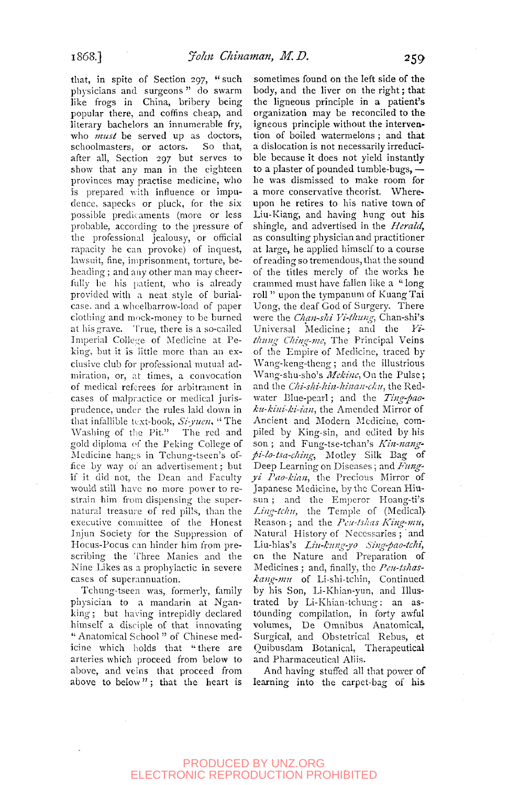that, in spite of Section 297, " such physicians and surgeons " do swarm like frogs in China, bribery being popular there, and coffins cheap, and literary bachelors an innumerable fry, who *must* be served up as doctors, schoolmasters, or actors. So that, after all. Section 297 but serves to show that any man in the eighteen provinces may practise medicine, who is prepared with influence or impudence, sapecks or pluck, for the six possible predicaments (more or less probable, according to the pressure of the professional jealousy, or official rapacity he can provoke) of inquest, lawsuit, fine, imprisonment, torture, beheading ; and any other man may cheerfully be his patient, who is already provided with a neat style of burialcase, and a whcelbarrow-load of paper clothing and mock-money to be burned at his grave. True, there is a so-called Imperial College of Medicine at Peking, but it is little more than an exclusive club for professional mutual admiration, or, at times, a convocation of medical referees for arbitrament in of medical federes for approache in produce the rules laid down in the rules late prudence, under the rules laid down in that infallible text-book,  $Si$ -yuen, "The Washing of the Pit." The red and  $\frac{1}{2}$  washing of the Phi-Phi-Phi-College and gold diplomation the reking-conege of-Medicine hangs in Tchung-tseen's office by way of an advertisement; but if it did not, the Dean and Faculty would still have no more power to restrain him from dispensing the supernatural treasure of red pills, than the executive committee of the Honest Injun Society for the Suppression of Hocus-Pocus can hinder him from prescribing the Three Manies and the Nine Likes as a prophylactic in severe<br>cases of superannuation.

Tchung-tseen was, formerly, family physician to a mandarin at Nganking; but having intrepidly declared himself a disciple of that innovating " Anatomical School " of Chinese medicine which holds that "there are arteries which proceed from below to above, and veins that proceed from above to below" ; that the heart is

sometimes found on the left side of the body, and the liver on the right; that the ligneous principle in a patient's organization may be reconciled to the igneous principle without the intervention of boiled watermelons ; and that a dislocation is not necessarily irreducible because it does not yield instantly to a plaster of pounded tumble-bugs, he was dismissed to make room for a more conservative theorist. Whereupon he retires to his native town of Liu-Kiang, and having hung out his shingle, and advertised in the *Herald,*  as consulting physician and practitioner at large, he apphed himself to a course of reading so tremendous, that the sound of the titles merely of the works he crammed must have fallen like a " long roll " upon the tympanum of Kuang Tai Uong, the deaf God of Surgery. There were the *Chan-sJii Yi-tltung,* Chan-shi's Universal Medicine; and the *Yitkmig Cliing-me,* The Principal Veins of the Empire of Medicine, traced by Wang-keng-theng; and the illustrious Wang-shu-sho's *Mekine*, On the Pulse; and the *Chi-shi-hin-hinan-chu*, the Redwater IMue-pearl; and the *Ting-paokuter* Diac-pearl, and the *Ling-pub-*An-American, the American Motor of principle and modern neculture, compiled by King-sin, and edited by his son; and Fung-tse-tchan's Kin-nangpi-lo-tsa-ching, Motley Silk Bag of Deep Learning on Diseases; and Fungyi Pao-kian, the Precious Mirror of Japanese Medicine, by the Corean Hiusun; and the Emperor Hoang-ti's Ling-tchu, the Temple of (Medical) Reason; and the Peu-tshas King-mu, Natural History of Necessaries; and Liu-hias's Liu-kung-yo Sing-pao-tchi, on the Nature and Preparation of *Medicines*; and, finally, the *Peu-tshas*kang-mu of Li-shi-tchin, Continued by his Son, Li-Khian-yun, and Illustrated by Li-Khian-tchung: an astounding compilation, in forty awful volumes, De Omnibus Anatomical, Surgical, and Obstetrical Rebus, et Quibusdam Botanical, Therapeutical and Pharmaceutical Aliis.

And having stuffed all that power of learning into the carpet-bag of his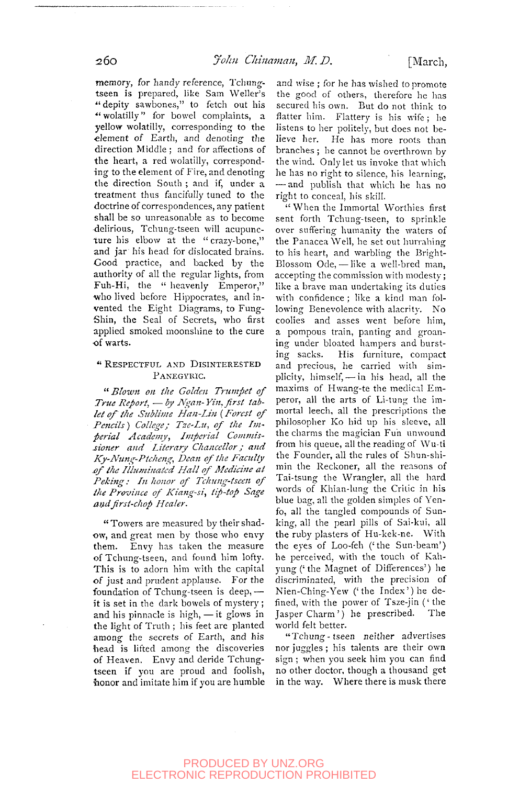memory, for handy reference, Tchungtseen is prepared, like Sam Weller's " depity sawbones," to fetch out his " wolatilly" for bowel complaints, a yellow wolatilly, corresponding to the •element of Earth, and denoting the direction Middle ; and for affections of the heart, a red wolatilly, corresponding to the element of Fire, and denoting the direction South ; and if, under a treatment thus fancifully tuned to the doctrine of correspondences, any patient shall be so unreasonable as to become delirious, Tchung-tseen will acupuncture his elbow at the "crazy-bone," and jar his head for dislocated brains. Good practice, and backed by the authority of all the regular lights, from Fuh-Hi, the " heavenly Emperor," who lived before Hippocrates, and invented the Eight Diagrams, to Fung-Shin, the Seal of Secrets, who first applied smoked moonshine to the cure

#### <sup>4</sup> RESPECTFUL AND DISINTERESTED PANEGYRIC.

" *Blown oil the Golden Trumpet of True Report, — by Ngan-Yin, first tablet of the Sttblivte Han-Lin* (*Forest of Pencils) College; Tzc-Lti, of the Imperial Academy, Imperial Commissioner and Literary Chancellor; and Ky-Nung-Ptchejig, Dean of the Faculty jjf the Illuminated Hall of Medicine at Peking: In honor of Tchung-tseen of the Province of Kiang-si, tip-top Sage mulfirst-chop Healer.* 

"Towers are measured by their shadow, and great men by those who envy them. Envy has taken the measure of Tchung-tseen, and found him lofty. This is to adorn him with the capital of just and prudent applause. For the foundation of Tchung-tseen is deep, it is set in the dark bowels of mystery ; and his pinnacle is high, — it glows in the light of Truth ; his feet are planted among the secrets of Earth, and his head is lifted among the discoveries of Heaven. Envy and deride Tchungtseen if you are proud and foolish, honor and imitate him if you are humble

and wise ; for he has wished to promote the good of others, therefore he has secured his own. But do not think to flatter him. Flattery is his wife ; he listens to her politely, but does not believe her. He has more roots than branches ; be cannot be overthrown by the wind. Only let us invoke that which he has no right to silence, his learning, — and publish that which he has no right to conceal, his skill.

" When the Immortal Worthies first sent forth Tchung-tseen, to sprinkle over suffering humanity the waters of the Panacea Well, he set out hurrahing to his heart, and warbling the Bright-Blossom Ode, — like a well-bred man, accepting the commission with modesty; like a brave man undertaking its duties with confidence ; like a kind man following Benevolence with alacrity. No coolies and asses went before him, a pompous train, panting and groaning under bloated hampers and bursting sacks. His furniture, compact and precious, he carried with simplicity, himself, — in his head, all the maxims of Hwang-te the medical Emperor, all the arts of Li-tung the immortal leech, all the prescriptions the philosopher Ko hid up his sleeve, all the charms the magician Fun unwound from his queue, all the reading of Wu-ti the Founder, all the rules of Shun-shimin the Reckoner, all the reasons of Tai-tsung the Wrangler, all the hard words of Khian-lung the Critic in his blue bag, all the golden simples of Yenfo, all the tangled compounds of Sunking, all the pearl pills of Sai-kui, all the ruby plasters of Hu-kek-ne. With the eyes of Loo-feh ('the Sun-beam') he perceived, with the touch of Kahne perceived, with the touch of Isah yung with the precision of discriminated, with the precision of Nien-Ching-Yew ('the Index') he defined, with the power of Tsze-jin ('the Jasper Charm') he prescribed. The Jasper Charm') he prescribed.<br>world felt better.

"Tchung-tseen neither advertises nor juggles ; his talents are their own sign ; when you seek him you can find no other doctor, though a thousand get in the way. Where there is musk there

of warts.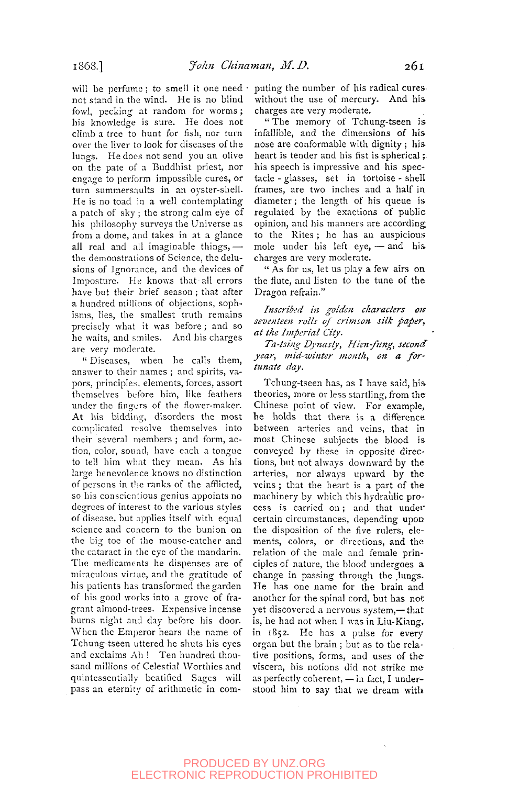will be perfume: to smell it one need  $\cdot$ not stand in the wind. He is no blind fowl, pecking at random for worms; his knowledge is sure. He does not climb a tree to hunt for fish, nor turn over the liver to look for diseases of the lungs. He docs not send you an olive on the pate of a Buddhist priest, nor engage to perform impossible cures, or turn summersaults in an oyster-shell. He is no toad in a well contemplating a patch of sky ; the strong calm eye of his philosophy surveys the Universe as from a dome, and takes in at a glance all real and all imaginable things,  $$ the demonstrations of Science, the delusions of Ignorance, and the devices of Imposture. He knows that all errors have but their brief season ; that after a hundred millions of objections, sophisms, lies, the smallest truth remains precisely what it was before ; and so he waits, and smiles. And his charges are very moderate.

" Diseases, when he calls them, answer to their names ; and spirits, vapors, principles, elements, forces, assort themselves before him, like feathers under the fingers of the flower-maker. At his bidding, disorders the most complicated resolve themselves into their several members ; and form, action, color, sound, have each a tongue to tell him what they mean. As his large benevolence knows no distinction of persons in the ranks of the afflicted, so his conscientious genius appoints no degrees of interest to the various styles of disease, but applies itself with equal science and concern to the bunion on the big toe of the mouse-catcher and the cataract in the eye of the mandarin. The medicaments he dispenses are of miraculous viriue, and the gratitude of his patients has transformed the garden of his good works into a grove of fragrant almond-trees. Expensive incense burns night and day before his door. When the Emperor hears the name of Tchung-tseen uttered he shuts his eyes and exclaims Ah ! Ten hundred thousand millions of Celestial Worthies and quintessentially beatified Sages will pass an eternity of arithmetic in computing the number of his radical cures without the use of mercury. And his charges are very moderate.

" The memory of Tchung-tseen is infallible, and the dimensions of his nose are conformable with dignity ; his heart is tender and his fist is spherical; his speech is impressive and his spectacle - glasses, set in tortoise - shell frames, are two inches and a half in diameter; the length of his queue is regulated by the exactions of public opinion, and his manners are according to the Rites ; he has an auspicious mole under his left eye, — and his charges are very moderate.

" As for us, let us play a few airs on the flute, and listen to the tune of the Dragon refrain."

*Inscribed in golden characters on seventeen rolls of crimson silk paper, at the Imperial City.* 

Ta-tsing Dynasty, Hien-fung, second *year, mid-winter month, on a fortunate day.* 

Tchung-tseen has, as I have said, his theories, more or less startling, from the Chinese point of view. For example, he holds that there is a difference between arteries and veins, that in most Chinese subjects the blood is conveyed by these in opposite directions, but not always downward by the arteries, nor always upward by the veins ; that the heart is a part of the machinery by which this hydraulic process is carried on; and that under certain circumstances, depending upon the disposition of the five rulers, elements, colors, or directions, and the relation of the male and female principles of nature, the blood undergoes a change in passing through the lungs. He has one name for the brain and another for the spinal cord, but has not yet discovered a nervous system,— that is, he had not when I was in Liu-Kiang, in 1852. He has a pulse for every organ but the brain ; but as to the relative positions, forms, and uses of the viscera, his notions did not strike me as perfectly coherent, — in fact, I understood him to say that we dream with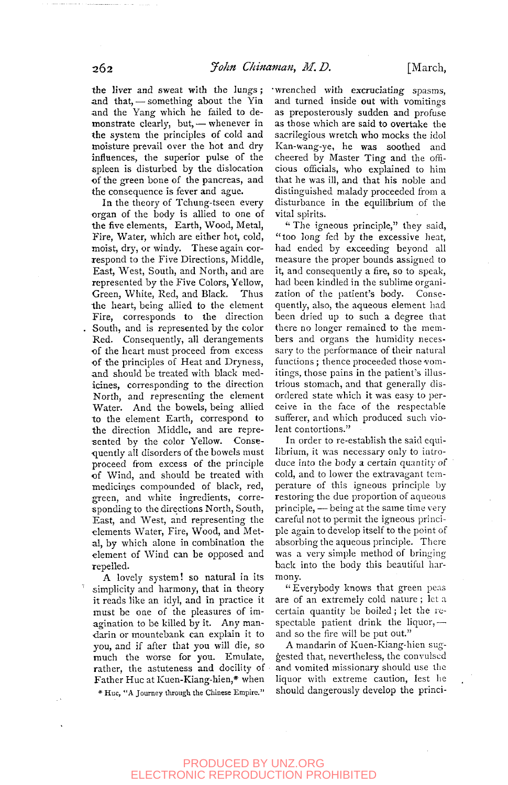the liver and sweat with the lungs ; and that, — something about the Yia and the Yang which he failed to demonstrate clearly, but, — whenever in the system the principles of cold and moisture prevail over the hot and dry influences, the superior pulse of the spleen is disturbed by the dislocation •of the green bone of the pancreas, and the consequence is fever and ague.

In the theory of Tchung-tseen every organ of the body is allied to one of the five elements, Earth, Wood, Metal, Fire, Water, which are either hot, cold, moist, dry, or windy. These again correspond to the Five Directions, Middle, East, West, South, and North, and are represented by the Five Colors, Yellow, Green, White, Red, and Black. Thus the heart, being allied to the element Fire, corresponds to the direction South, and is represented by the color Red. Consequently, all derangements of the heart must proceed from excess of the principles of Heat and Dryness, and should be treated with black medicines, corresponding to the direction North, and representing the element Water. And the bowels, being allied to the element Earth, correspond to the direction Middle, and are represented by the color Yellow. Consequently ail disorders of the bowels must proceed from excess of the principle of Wind, and should be treated with medicines compounded of black, red, green, and white ingredients, corresponding to the directions North, South, East, and West, and representing the East, and West, and representing the<br>elements Water, Fire, Wood, and Metelements water, ring wood, and meeelement of Windows and the opposite of the opposite and the opposite and the opposite and the opposite and the state and the state of the state of the state of the state of the state of the state of the state of the state element of Wind can be opposed and repelled.

A lovely system! so natural in its simplicity and harmony, that in theory it reads like an idyl, and in practice it must be one of the pleasures of imagination to be killed by it. Any mandarin or mountebank can explain it to you, and if after that you will die, so much the worse for you. Emulate, rather, the astuteness and docility of Father Hue at Kuen-Kiang-hien,\* when \* Hue, "A Journey through the Chinese Empire."

•wrenched with excruciating spasms, and turned inside out with vomitings as preposterously sudden and profuse as those which are said to overtake the sacrilegious wretch who mocks the idol Kan-wang-ye, he was soothed and cheered by Master Ting and the officious officials, who explained to him that he was ill, and that his noble and distinguished malady proceeded from a disturbance in the equilibrium of the vital spirits.

" The igneous principle," they said, "too long fed by the excessive heat, had ended by exceeding beyond all measure the proper bounds assigned to it, and consequently a fire, so to speak, had been kindled in the sublime organization of the patient's body. Consequently, also, the aqueous element had been dried up to such a degree that there no longer remained to the members and organs the humidity necessary to the performance of their natural functions; thence proceeded those vomitings, those pains in the patient's illustrious stomach, and that generally disordered state which it was easy to perceive in the face of the respectable sufferer, and which produced such violent contortions."

In order to re-establish the said equilibrium, it was necessary only to introduce into the body a certain quantity of cold, and to lower the extravagant temperature of this igneous principle by restoring the due proportion of aqueous principle, — being at the same time very careful not to permit the igneous principle again to develop itself to the point of absorbing the aqueous principle. There was a very simple method of bringing back into the body this beautiful harmony.

" Everybody knows that green peas are of an extremely cold nature ; let a certain quantity be boiled; let the respectable patient drink the liquor, $$ and so the fire will be put out."

A mandarin of Kuen-Kiang-hien suggested that, nevertheless, the convulsed and vomited missionary should use the liquor with extreme caution, lest he should dangerously develop the princi-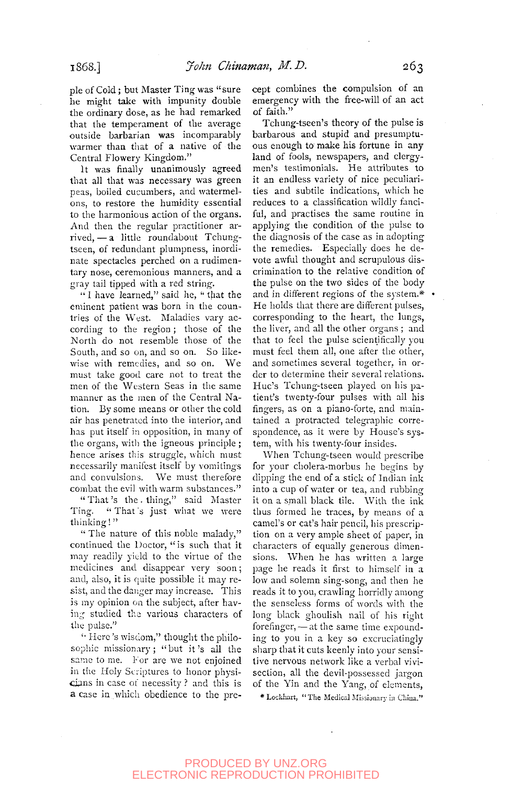pie of Cold; but Master Ting was "sure he might take with impunity double the ordinary dose, as he had remarked that the temperament of the average outside barbarian was incomparably warmer than that of a native of the Central Flowery Kingdom."

It was finally unanimously agreed that all that was necessary was green peas, boiled cucumbers, and watermelons, to restore the humidity essential to the harmonious action of the organs. And then the regular practitioner arrived, — a little roundabout Tchungtseen, of redundant plumpness, inordinate spectacles perched on a rudimentary nose, ceremonious manners, and a gray tail tipped with a red string.

" I have learned," said he, " that the eminent patient was born in the countries of the West. Maladies vary according to the region; those of the North do not resemble those of the South, and so on, and so on. So likewise with remedies, and so on. We must take good care not to treat the men of the Western Seas in the same manner as the men of the Central Nation. By some means or other the cold air has penetrated into the interior, and has put itself in opposition, in many of the organs, with the igneous principle; hence arises this struggle, which must necessarily manifest itself by vomitings and convulsions. We must therefore combat the evil with warm substances."

" That's the . thing," said Master Ting. "That s just what we were thinking!"

" The nature of this noble malady," continued the Doctor, "is such that it may readily yield to the virtue of the medicines and disappear very soon; and, also, it is quite possible it may resist, and the danger may increase. This is my opinion on the subject, after baving studied the various characters of the pulse."

'• Here's wisdom," thought the philosophic missionary; "but it's all the same to me. For are we not enjoined in the Holy Scriptures to honor physicians in case of necessity ? and this is a case in which obedience to the precept combines the compulsion of an emergency with the free-will of an act of faith."

Tchung-tseen's theory of the pulse is barbarous and stupid and presumptuous enough to make his fortune in any land of fools, newspapers, and clergymen's testimonials. He attributes to it an endless variety of nice peculiarities and subtile indications, which he reduces to a classification wildly fanciful, and practises the same routine in applying the condition of the pulse to the diagnosis of the case as in adopting the remedies. Especially does he devote awful thought and scrupulous discrimination to the relative condition of the pulse on the two sides of the body and in different regions of the system. $*$  . He holds that there are different pulses, corresponding to the heart, the lungs, the liver, and all the other organs ; and that to feel the pulse scientifically you must feel them all, one after the other, and sometimes several together, in order to determine their several relations. Hue's Tchung-tseen played on his patient's twenty-four pulses with all his fingers, as on a piano-forte, and maintained a protracted telegraphic correspondence, as it were by House's system, with his twenty-four insides.

When Tchung-tseen would prescribe for your cholera-morbus he begins by dipping the end of a stick of Indian ink into a cup of water or tea, and rubbing it on a small black tile. With the ink thus formed he traces, by means of a camel's or cat's hair pencil, his prescription on a very ample sheet of paper, in characters of equally generous dimensions. When he has written a large page he reads it first to himself in a low and solemn sing-song, and then he reads it to you, crawling horridly among the senseless forms of words with the long black ghoulish nail of his right forefinger, — at the same time expounding to you in a key so excruciatingly sharp that it cuts keenly into your sensitive nervous network like a verbal vivisection, all the devil-possessed jargon of the Yin and the Yang, of elements,

\* Lockhart, "The Medical Missbnary in Chiua."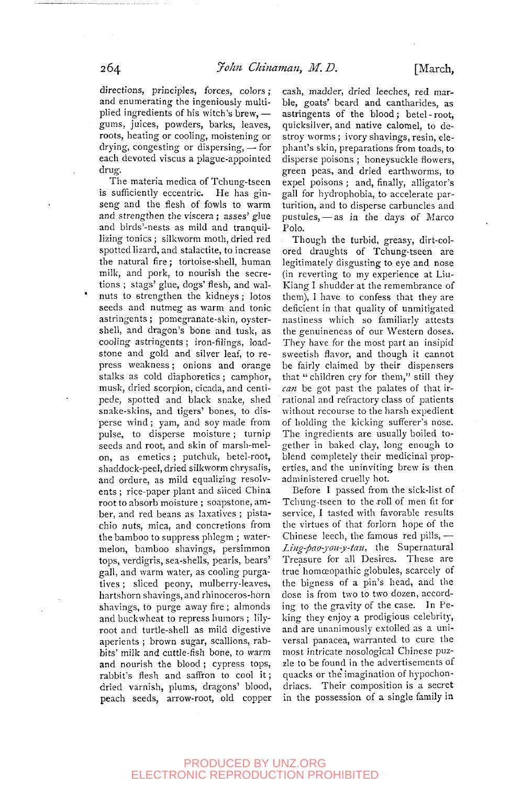directions, principles, forces, colors: and enumerating the ingeniously multiplied ingredients of his witch's brew, gums, juices, powders, barks, leaves, roots, heating or cooling, moistening or drying, congesting or dispersing, — for each devoted viscus a plague-appointed drug.

The materia medica of Tchung-tseen is sufficiently eccentric. He has ginseng and the flesh of fowls to warm and strengthen the viscera ; asses' glue and birds'-nests as mild and tranquillizing tonics ; silkworm moth, dried red spotted lizard, and stalactite, to increase the natural fire; tortoise-shell, human milk, and pork, to nourish the secretions ; stags' glue, dogs' flesh, and walnuts to strengthen the kidneys ; lotos seeds and nutmeg as warm and tonic astringents ; pomegranate-skin, oystershell, and dragon's bone and tusk, as cooling astringents ; iron-filings, loadstone and gold and silver leaf, to repress weakness; onions and orange stalks as cold diaphoretics ; camphor, musk, dried scorpion, cicada, and centipede, spotted and black snake, shed snake-skins, and tigers' bones, to disperse wind; yam, and soy made from pulse, to disperse moisture ; turnip seeds and root, and skin of marsli-melon, as emetics ; putchuk, betel-root, on, as cincucs, putentif, beter-root, shaudock-peel, dried silkworm em ysans, and bruint, as mind equations resort ents; rice-paper plant and sheed china root to absorb moisture; soapstone, amber, and red beans as laxatives; pistachio nuts, mica, and concretions from the bamboo to suppress phlegm; watermelon, bamboo shavings, persimmon tops, verdigris, sea-shells, pearls, bears' gall, and warm water, as cooling purgatives; sliced peony, mulberry-leaves, hartshorn shavings, and rhinoceros-horn shavings, to purge away fire; almonds and buckwheat to repress humors; lilyroot and turtle-shell as mild digestive aperients; brown sugar, scallions, rabbits' milk and cuttle-fish bone, to warm and nourish the blood; cypress tops, rabbit's flesh and saffron to cool it; dried varnish, plums, dragons' blood, peach seeds, arrow-root, old copper cash, madder, dried leeches, red marble, goats' beard and cantharides, as astringents of the blood; betel-root, quicksilver, and native calomel, to destroy worms ; ivory shavings, resin, elephant's skin, preparations from toads, to disperse poisons ; honeysuckle flowers, green peas, and dried earthworms, to expel poisons ; and, finally, alligator's gall for hydrophobia, to accelerate parturition, and to disperse carbuncles and pustules, — as in the days of Marco Polo.

Though the turbid, greasy, dirt-colored draughts of Tchung-tseen are legitimately disgusting to eye and nose (in reverting to my experience at Liu-Kiang 1 shudder at the remembrance of them), I have to confess that they are deficient in that quality of unmitigated nastiness which so familiarly attests the genuineness of our Western doses. They have for the most part an insipid sweetish flavor, and though it cannot be fairly claimed by their dispensers that " children cry for them," still they *ca7i* be got past the palates of that irrational and refractory class of patients without recourse to the harsh expedient of holding the kicking sufferer's nose. The ingredients are usually boiled together in baked clay, long enough to blend completely their medicinal properties, and the uninviting brew is then administered cruelly hot.

Before I passed from the sick-list of Tchung-tseen to the roll of men fit for service, I tasted with favorable results the virtues of that forlorn hope of the Chinese leech, the famous red pills, — *Ling-pao-you-y-taii^* the Supernatural Treasure for all Desires. These are true homoeopathic globules, scarcely of the bigness of a pin's head, and the dose is from two to two dozen, according to the gravity of the case. In Peking they enjoy a prodigious celebrity, and are unanimously extolled as a universal panacea, warranted to cure the most intricate nosological Chinese puzzle to be found in the advertisements of quacks or the imagination of hypochondriacs. Their composition is a secret in the possession of a single family in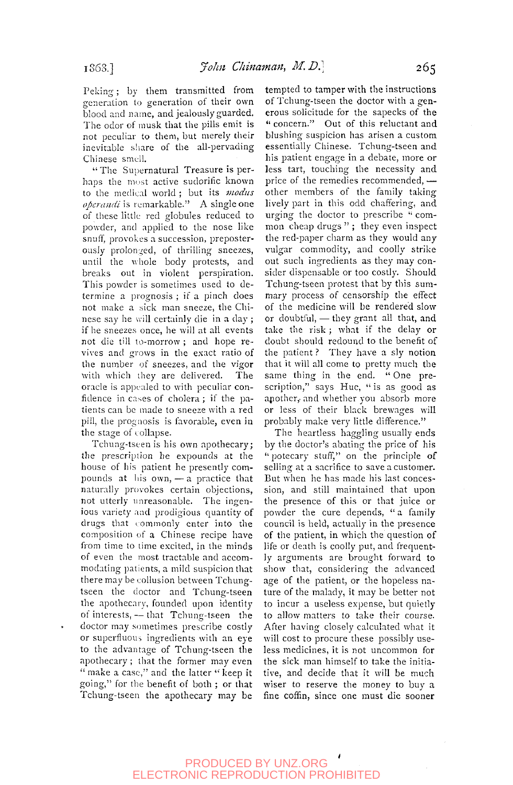Peking; by them transmitted from generation to generation of their own blood and name, and jealously guarded. The odor of musk that the pills emit is not peculiar to them, but merely their inevitable share of the all-pervading Chinese smell.

" The Supernatural Treasure is perhaps the most active sudorific known to the medical world ; but its *modus operandi* is remarkable." A single one of these little red globules reduced to powder, and applied to the nose like snuff, provokes a succession, preposterously prolonged, of thrilling sneezes, until the whole body protests, and breaks out in violent perspiration. This powder is sometimes used to determine a prognosis ; if a pinch does not make a sick man sneeze, the Chinese say he will certainly die in a day ; if he sneezes once, he will at all events not die till to-morrow ; and hope revives and grows in the exact ratio of the number of sneezes, and the vigor with which ihey are delivered. The oracle is appealed to with peculiar confidence in cases of cholera; if the patients can be made to sneeze with a red pill, the prognosis is favorable, even in the stage of collapse.

Tchung-tseen is his own apothecary; tlie prescriplion he expounds at the house of his patient he presently compounds at his owm, — a practice that naturally provokes certain objections, not utterly unreasonable. The ingenious variety and prodigious quantity of drugs that commonly enter into the composition of a Chinese recipe have from time to time excited, in the minds of even the most tractable and accommodating patients, a mild suspicion that there may be collusion between Tchungtseen the doctor and Tchung-tseen the apothecary, founded upon identity of interests, — that Tchung-tseen the doctor may sometimes prescribe costly or superfluous ingredients with an eye to the advantage of Tchung-tseen the apothecary ; that the former may even " make a case," and the latter " keep it going," for the benefit of both ; or that Tchung-tseen the apothecary may be

tempted to tamper with the instructions of Tchung-tseen the doctor with a generous solicitude for the sapecks of the " concern." Out of this reluctant and blushing suspicion has arisen a custom essentially Chinese. Tchung-tseen and his patient engage in a debate, more or less tart, touching the necessity and price of the remedies recommended, other members of the family taking lively part in this odd chaffering, and urging the doctor to prescribe " common cheap drugs"; they even inspect the red-paper charm as they would any vulgar commodity, and coolly strike out such ingredients as they may consider dispensable or too costly. Should Tchung-tseen protest that by this summary process of censorship the effect of the medicine will be rendered slow or doubtful, — they grant all that, and take the risk ; what if the delay or doubt should redound to the benefit of the patient ? They have a sly notion that it will all come to pretty much the same thing in the end. " One prescription," says Hue, " is as good as apother, and whether you absorb more or less of their black brewages will probably make very little difference."

The heartless haggling usually ends by the doctor's abating the price of his " potecary stuff," on the principle of selling at a sacrifice to save a customer. But when he has made his last concession, and still maintained that upon the presence of this or that juice or powder the cure depends, "a family council is held, actually in the presence of the patient, in which the question of life or death is coolly put, and frequently arguments are brought forward to show that, considering the advanced age of the patient, or the hopeless nature of the malady, it may be better not to incur a useless expense, but quietly to allow matters to take their course. After having closely calculated what it will cost to procure these possibly useless medicines, it is not uncommon for the sick man himself to take the initiative, and decide that it will be much wiser to reserve the money to buy a fine coffin, since one must die sooner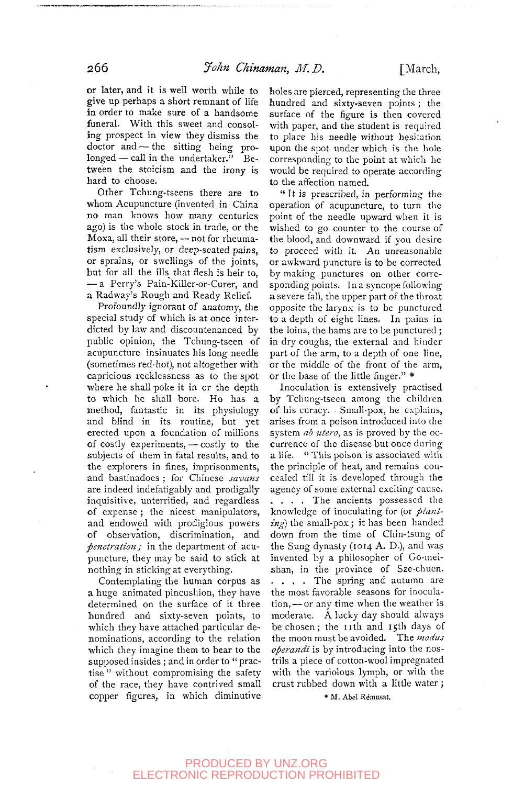or later, and it is well worth while to give up perhaps a short remnant of life in order to make sure of a handsome funeral. With this sweet and consoling prospect in view they dismiss the doctor and — the sitting being prolonged — call in the undertaker." Between the stoicism and the irony is hard to choose.

Other Tchung-tseens there are to whom Acupuncture (invented in China no man knows how many centuries ago) is the whole stock in trade, or the Moxa, all their store, — not for rheumatism exclusively, or deep-seated pains, or sprains, or swellings of the joints, but for all the ills\_ that flesh is heir to, — a Perry's Pain-Killer-or-Curer, and a Radway's Rough and Ready Relief.

Profoundly ignorant of anatomy, the special study of which is at once interdicted by law and discountenanced by public opinion, the Tchung-tseen of acupuncture insinuates his long needle (sometimes red-hot), not altogether with capricious recklessness as to the spot where he shall poke it in or the depth to which he shall bore. Ha has a method, fantastic in its physiology and blind in its routine, but yet erected upon a foundation of millions of costly experiments, — costly to the subjects of them in fatal results, and to the explorers in fines, imprisonments, and bastinadoes ; for Chinese *savans*  are indeed indefatigably and prodigally inquisitive, unterrified, and regardless of expense ; the nicest manipulators, and endowed with prodigious powers of observation, discrimination, and *penetration;* in the department of acupuncture, they may be said to stick at nothing in sticking at everything.

Contemplating the human corpus as a huge animated pincushion, they have determined on the surface of it three hundred and sixty-seven points, to which they have attached particular denominations, according to the relation which they imagine them to bear to the supposed insides ; and in order to "practise " without compromising the safety of the race, they have contrived small copper figures, in which diminutive

holes are pierced, representing the three hundred and sixty-seven points ; the surface of the figure is then covered with paper, and the student is required to place his needle without hesitation upon the spot under which is the hole corresponding to the point at whicli he would be required to operate according to the affection named.

" It is prescribed, in performing the operation of acupuncture, to turn the point of the needle upward when it is wished to go counter to the course of the blood, and downward if you desire to proceed with it. An unreasonable or awkward puncture is to be corrected by making punctures on other corresponding points. In a syncope following a severe fall, the upper part of the throat opposite the larynx is to be punctured to a depth of eight lines. In pains in the loins, the hams are to be punctured ; in dry coughs, the external and hinder part of the arm, to a depth of one line, or the middle of the front of the arm, or the base of the little finger." \*

Inoculation is extensively practised by Tchung-tseen among the children of his curacy. Small-pox, he explains, arises from a poison introduced into the system *ab utero*, as is proved by the occurrence of the disease but once during a life. " This poison is associated with the principle of heat, and remains concealed till it is developed through the agency of some external exciting cause. ... . The ancients possessed the knowledge of inoculating for (or *planting)* the small-pox ; it has been handed down from the time of Chin-tsung of the Sung dynasty (1014 A. D.), and was invented by a philosopher of Go-meishan, in the province of Sze-chuen. ... . The spring and autumn are the most favorable seasons for inoculation,— or any time when the weather is moderate. A lucky day should always be chosen; the 11th and 15th days of the moon must be avoided. The *modus operandi* is by introducing into the nostrils a piece of cotton-wool impregnated with the variolous lymph, or with the crust rubbed down with a little water ;

\* M, Abel Remusat.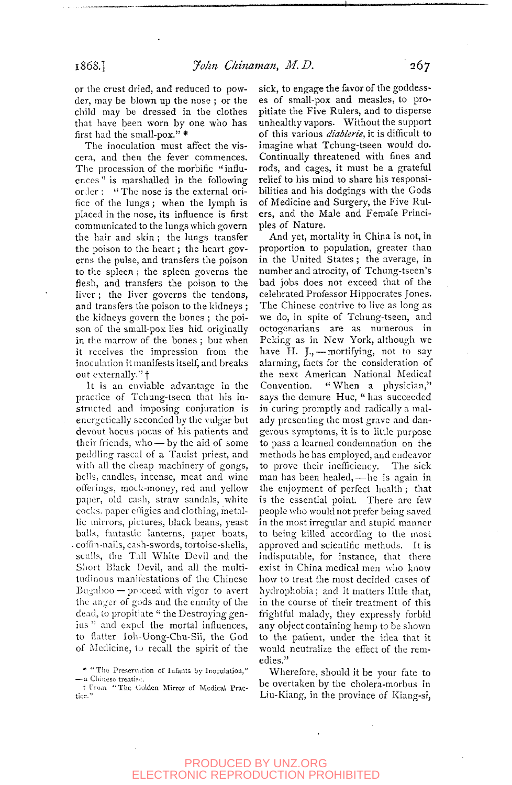or the crust dried, and reduced to powder, may be blown up the nose ; or the child may be dressed in the clothes that have been worn by one who has first had the small-pox." \*

The inoculation must affect the viscera, and then the fever commences. The procession of the morbific "influences " is marshalled in the following order : " The nose is the external orifice of the lungs; when the lymph is placed in the nose, its influence is first communicated to the lungs which govern the hair and skin ; the lungs transfer the poison to the heart; the heart governs the pulse, and transfers the poison to the spleen; the spleen governs the flesh, and transfers the poison to the liver ; the liver governs the tendons, and transfers the poison to the kidneys ; the kidneys govern the bones ; the poison of the small-pox lies hid originally in the marrow of the bones ; but when it receives the impression from the inoculation it manifests itself, and breaks out externally."<sup>†</sup>

It is an enviable advantage in the practice of Tchung-tseen that his instructed and imposing conjuration is energetically seconded by the vulgar but devout hocus-pocus of his patients and their friends, who — by the aid of some peddling rascal of a Tauist priest, and with all the cheap machinery of gongs, bells, candles, incense, meat and wine offerings, mock-money, red and yellow paper, old cash, straw sandals, white cocks, paper effigies and clothing, metallic minors, pictures, black beans, yeast balls, fantastic lanterns, paper boats, . coffin-nails, cash-swords, tortoise-shells, sculls, the Tall White Devil and the Short Black Devil, and all the multitudinous manifestations of the Chinese Bugaboo — proceed with vigor to avert the anger of gods and the enmity of the dead, to propitiate " the Destroying genius " and expel the mortal influences, to flatter loh-Uong-Chu-Sii, the God of Medicine, to recall the spirit of the sick, to engage the favor of the goddesses of small-pox and measles, to propitiate the Five Rulers, and to disperse unhealthy vapors. Without the support of this various *diablerie,* it is difficult to imagine what Tchung-tseen would do. Continually threatened with fines and rods, and cages, it must be a grateful relief to his mind to share his responsibilities and his dodgings with the Gods of Medicine and Surgery, the Five Rulers, and the Male and Female Principles of Nature.

And yet, mortality in China is not, in proportion to population, greater than in the United States; the average, in number and atrocity, of Tchung-tseen's bad jobs does not exceed that of the celebrated Professor Hippocrates Jones. The Chinese contrive to live as long as we do, in spite of Tchung-tseen, and octogenarians are as numerous in Peking as in New York, although we have H. J., - mortifying, not to say alarming, facts for the consideration of the next American National Medical Convention. "When a physician," says the demure Huc, " has succeeded in curing promptly and radically a malady presenting the most grave and dangerous symptoms, it is to little purpose to pass a learned condemnation on the methods he has employed, and endeavor to prove their inefficiency. The sick man has been healed, — he is again in the enjoyment of perfect health ; that is the essential point. There arc few people who would not prefer being saved in the most irregular and stupid manner to being killed according to the most approved and scientific methods. It is indisputable, for instance, that there exist in China medical men who know how to treat the most decided cases of how to freat the most decided cases of in the course of the course of the course of the course of the course of the course of the course of the course of the course of the course of the course of the course of the course of the course of the course of the cours in the course of their treatment of this frightful malady, they expressly forbid any object containing hemp to be shown to the patient, under the idea that it would neutralize the effect of the rem-<br>edies."

Wherefore, should it be your fate to be overtaken by the cholera-morbus in Liu-Kiang, in the province of Kiang-si,

<sup>\* &</sup>quot;The Preservation of Infants by Inoculation," — a Chinese treatise.

t Urom "The Colden Mirror of Medical Practice.''